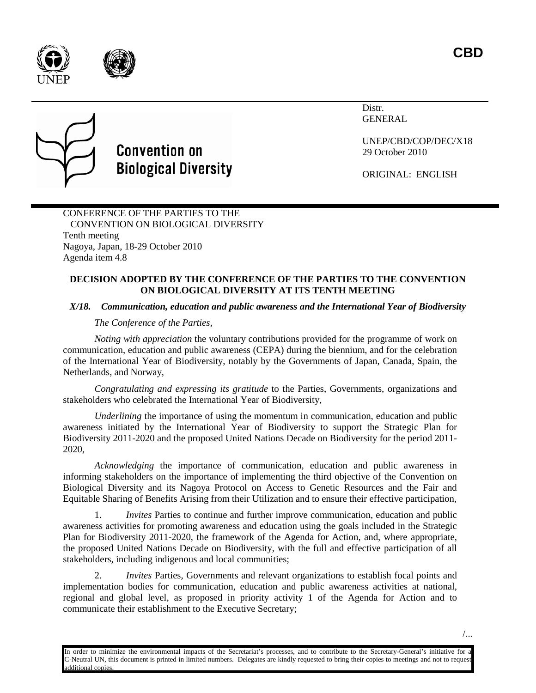**CBD**





## **Convention on Biological Diversity**

Distr. GENERAL

UNEP/CBD/COP/DEC/X18 29 October 2010

ORIGINAL: ENGLISH

CONFERENCE OF THE PARTIES TO THE CONVENTION ON BIOLOGICAL DIVERSITY Tenth meeting Nagoya, Japan, 18-29 October 2010 Agenda item 4.8

## **DECISION ADOPTED BY THE CONFERENCE OF THE PARTIES TO THE CONVENTION ON BIOLOGICAL DIVERSITY AT ITS TENTH MEETING**

## *X/18. Communication, education and public awareness and the International Year of Biodiversity*

## *The Conference of the Parties,*

*Noting with appreciation* the voluntary contributions provided for the programme of work on communication, education and public awareness (CEPA) during the biennium, and for the celebration of the International Year of Biodiversity, notably by the Governments of Japan, Canada, Spain, the Netherlands, and Norway,

*Congratulating and expressing its gratitude* to the Parties, Governments, organizations and stakeholders who celebrated the International Year of Biodiversity,

*Underlining* the importance of using the momentum in communication, education and public awareness initiated by the International Year of Biodiversity to support the Strategic Plan for Biodiversity 2011-2020 and the proposed United Nations Decade on Biodiversity for the period 2011- 2020,

*Acknowledging* the importance of communication, education and public awareness in informing stakeholders on the importance of implementing the third objective of the Convention on Biological Diversity and its Nagoya Protocol on Access to Genetic Resources and the Fair and Equitable Sharing of Benefits Arising from their Utilization and to ensure their effective participation,

1. *Invites* Parties to continue and further improve communication, education and public awareness activities for promoting awareness and education using the goals included in the Strategic Plan for Biodiversity 2011-2020, the framework of the Agenda for Action, and, where appropriate, the proposed United Nations Decade on Biodiversity, with the full and effective participation of all stakeholders, including indigenous and local communities;

2. *Invites* Parties, Governments and relevant organizations to establish focal points and implementation bodies for communication, education and public awareness activities at national, regional and global level, as proposed in priority activity 1 of the Agenda for Action and to communicate their establishment to the Executive Secretary;